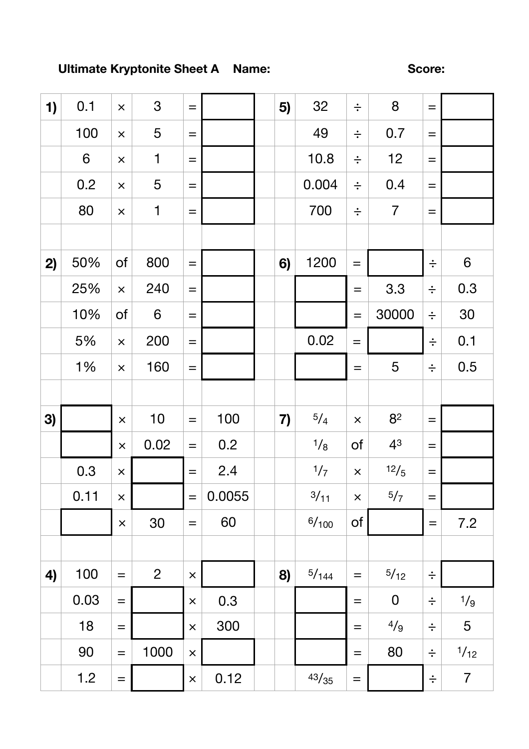## Ultimate Kryptonite Sheet A Name:

Score:

| 1) | 0.1            | $\times$          | 3              | $=$            |        | 5) | 32    | $\div$            | $8\phantom{1}$ | $=$    |                  |
|----|----------------|-------------------|----------------|----------------|--------|----|-------|-------------------|----------------|--------|------------------|
|    | 100            | $\pmb{\times}$    | 5              | $=$            |        |    | 49    | $\div$            | 0.7            | $=$    |                  |
|    | $6\phantom{1}$ | $\pmb{\times}$    | $\mathbf 1$    | $=$            |        |    | 10.8  | $\div$            | 12             | $=$    |                  |
|    | 0.2            | $\times$          | 5              | $\equiv$       |        |    | 0.004 | $\div$            | 0.4            | $=$    |                  |
|    | 80             | $\pmb{\times}$    | $\mathbf 1$    | $=$            |        |    | 700   | $\div$            | $\overline{7}$ | $=$    |                  |
|    |                |                   |                |                |        |    |       |                   |                |        |                  |
| 2) | 50%            | of                | 800            | $=$            |        | 6) | 1200  | $\!\!\!=\!\!\!\!$ |                | $\div$ | $\boldsymbol{6}$ |
|    | 25%            | $\times$          | 240            | $=$            |        |    |       | $=$               | 3.3            | $\div$ | 0.3              |
|    | 10%            | of                | $6\phantom{1}$ | $=$            |        |    |       | $\qquad \qquad =$ | 30000          | $\div$ | 30               |
|    | 5%             | $\times$          | 200            | $=$            |        |    | 0.02  | $=$               |                | $\div$ | 0.1              |
|    | 1%             | $\times$          | 160            | $=$            |        |    |       | $=$               | 5              | $\div$ | 0.5              |
|    |                |                   |                |                |        |    |       |                   |                |        |                  |
|    |                |                   |                |                |        |    |       |                   |                |        |                  |
| 3) |                | $\times$          | 10             | $=$            | 100    | 7) | 5/4   | $\pmb{\times}$    | 82             | $=$    |                  |
|    |                | $\times$          | 0.02           | $=$            | 0.2    |    | 1/8   | of                | 43             | $=$    |                  |
|    | 0.3            | $\pmb{\times}$    |                | $=$            | 2.4    |    | 1/7   | $\times$          | 12/5           | $=$    |                  |
|    | 0.11           | $\pmb{\times}$    |                | $=$            | 0.0055 |    | 3/11  | $\pmb{\times}$    | 5/7            | $=$    |                  |
|    |                | $\pmb{\times}$    | 30             | $=$            | 60     |    | 6/100 | of                |                | $=$    | 7.2              |
|    |                |                   |                |                |        |    |       |                   |                |        |                  |
| 4) | 100            | $\qquad \qquad =$ | $\overline{2}$ | $\times$       |        | 8) | 5/144 | $\qquad \qquad =$ | 5/12           | $\div$ |                  |
|    | 0.03           | $=$               |                | $\pmb{\times}$ | 0.3    |    |       | $=$               | $\mathbf 0$    | $\div$ | 1/g              |
|    | 18             | $=$               |                | $\pmb{\times}$ | 300    |    |       | $=$               | 4/9            | $\div$ | 5                |
|    | 90             | $\qquad \qquad =$ | 1000           | $\pmb{\times}$ |        |    |       | $=$               | 80             | $\div$ | 1/12             |